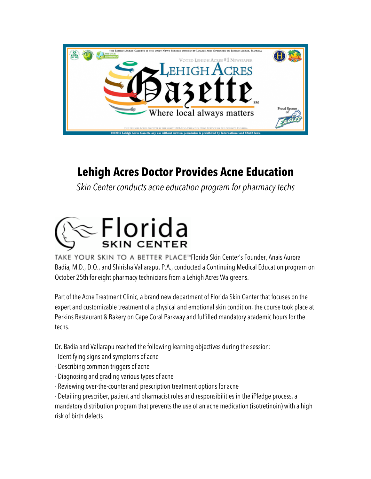

## **Lehigh Acres Doctor Provides Acne Education**

*Skin Center conducts acne education program for pharmacy techs* 



TAKE YOUR SKIN TO A BETTER PLACE<sup>N</sup>Florida Skin Center's Founder, Anais Aurora Badia, M.D., D.O., and Shirisha Vallarapu, P.A., conducted a Continuing Medical Education program on October 25th for eight pharmacy technicians from a Lehigh Acres Walgreens.

Part of the Acne Treatment Clinic, a brand new department of Florida Skin Center that focuses on the expert and customizable treatment of a physical and emotional skin condition, the course took place at Perkins Restaurant & Bakery on Cape Coral Parkway and fulfilled mandatory academic hours for the techs.

Dr. Badia and Vallarapu reached the following learning objectives during the session:

- Identifying signs and symptoms of acne
- Describing common triggers of acne
- Diagnosing and grading various types of acne
- Reviewing over-the-counter and prescription treatment options for acne

- Detailing prescriber, patient and pharmacist roles and responsibilities in the iPledge process, a mandatory distribution program that prevents the use of an acne medication (isotretinoin) with a high risk of birth defects